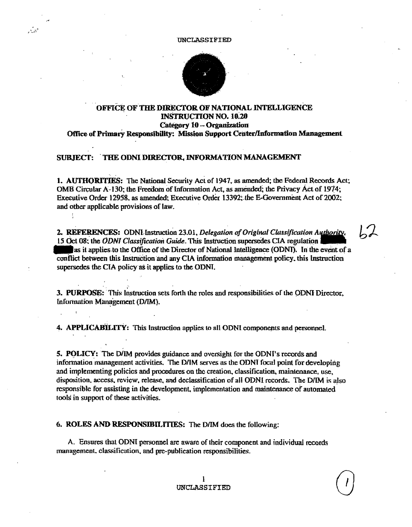## UNCLASSIFIED



## OFFICE OF THE DIRECTOR OF NATIONAL INTELLIGENCE **INSTRUCTION NO. 10.20** Category 10 - Organization Office of Primary Responsibility: Mission Support Center/Information Management

## SUBJECT: THE ODNI DIRECTOR, INFORMATION MANAGEMENT

 $\sim$   $\sim$ 

1. AUTHORITIES: The National Security Act of 1947, as amended; the Federal Records Act; OMB Circular A-130; the Freedom of Information Act, as amended; the Privacy Act of 1974; Executive Order 12958, as amended; Executive Order 13392; the E-Government Act of 2002; and other applicable provisions of law.

2. REFERENCES: ODNLInstruction 23.01, Delegation of Original Classification Authority. 15 Oct 08; the ODNI Classification Guide. This Instruction supersedes CIA regulation as it applies to the Office of the Director of National Intelligence (ODNI). In the event of a conflict between this Instruction and any CIA information management policy, this Instruction supersedes the CIA policy as it applies to the ODNI.

3. PURPOSE: This Instruction sets forth the roles and responsibilities of the ODNI Director. Information Management (D/IM).

4. APPLICABILITY: This Instruction applies to all ODNI components and personnel.

5. POLICY: The D/IM provides guidance and oversight for the ODNI's records and information management activities. The D/IM serves as the ODNI focal point for developing and implementing policies and procedures on the creation, classification, maintenance, use, disposition, access, review, release, and declassification of all ODN1 records. The D/IM is also responsible for assisting in the development, implementation and maintenance of automated tools in support of these activities.

6. ROLES AND RESPONSIBILITIES: The D/IM does the following:

A. Ensures that ODNI personnel are aware of their component and individual records management, classification, and pre-publication responsibilities.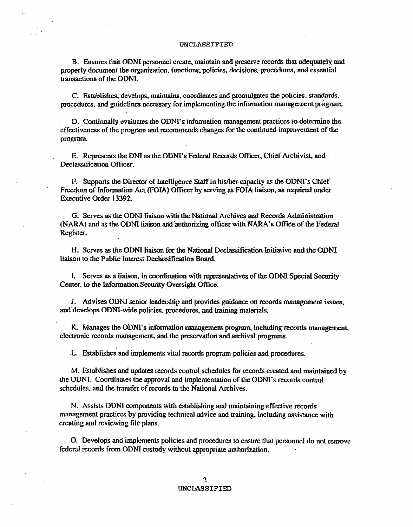$2 - 10$ 

B. Ensures that ODNI personnel create, maintain and preserve records that adequately and properly document the organization, functions, policies, decisions, procedures, and essential transactions of the ODNI.

C. Establishes, develops, maintains, coordinates and promulgates the policies, standards, procedures, and guidelines necessary for implementing the information management program.

D. Continually evaluates the ODNI's information management practices to determine the effectiveness of the program and recommends changes for the continued improvement of the program.

E. Represents the DNI as the ODNI's Federal Records Officer, Chief Archivist, and Declassification Officer.

F. Supports the Director of Intelligence Staff in his/her capacity as the ODNI's Chief Freedom of Information Act (FOIA) Officer by serving as FOIA liaison, as required under Executive Order 13392.

G. Serves as the ODNI liaison with the National Archives and Records Administration (NARA) and as the ODNI liaison and authorizing officer with NARA's Office of the Federal Register.

H. Scrves as the ODNI liaison for the National Declassification Initiative and the ODNI liaison to the Public Interest Declassification Board.

I. Serves as a liaison, in coordination with representatives of the ODNI Special Security Center, to the Information Security Oversight Office.

J. Advises ODNI senior leadership and provides guidance on records management issues, and develops ODNI-wide policies, procedures, and training materials.

K. Manages the ODNI's information management program, including records management, electronic records management, and the preservation and archival programs.

L. Establishes and implements vital records program policies and procedures.

M. Establishes and updates records control schedules for records created and maintained by the ODNI. Coordinates the approval and implementation of the ODNI's records control schedules, and the transfer of records to the National Archives.

N. Assists ODNI components with establishing and maintaining effective records management practices by providing technical advice and training, including assistance with creating and reviewing file plans.

O. Develops and implements policies and procedures to ensure that personnel do not remove federal records from ODNI custody without appropriate authorization.